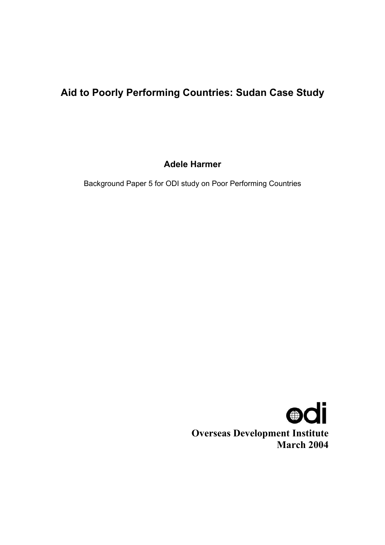# **Aid to Poorly Performing Countries: Sudan Case Study**

**Adele Harmer** 

Background Paper 5 for ODI study on Poor Performing Countries

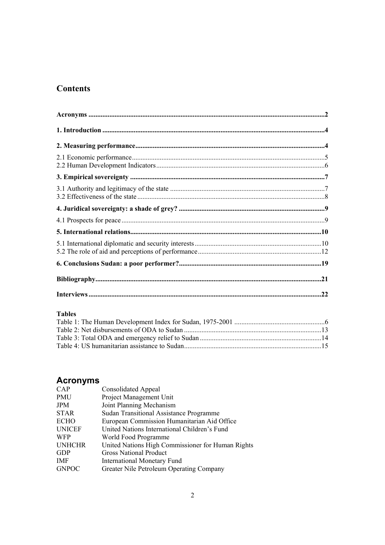# **Contents**

# **Tables**

# **Acronyms**

| <b>CAP</b>    | <b>Consolidated Appeal</b>                        |
|---------------|---------------------------------------------------|
| PMU           | Project Management Unit                           |
| JPM           | Joint Planning Mechanism                          |
| <b>STAR</b>   | <b>Sudan Transitional Assistance Programme</b>    |
| <b>ECHO</b>   | European Commission Humanitarian Aid Office       |
| <b>UNICEF</b> | United Nations International Children's Fund      |
| <b>WFP</b>    | World Food Programme                              |
| <b>UNHCHR</b> | United Nations High Commissioner for Human Rights |
| <b>GDP</b>    | <b>Gross National Product</b>                     |
| IMF           | <b>International Monetary Fund</b>                |
| <b>GNPOC</b>  | Greater Nile Petroleum Operating Company          |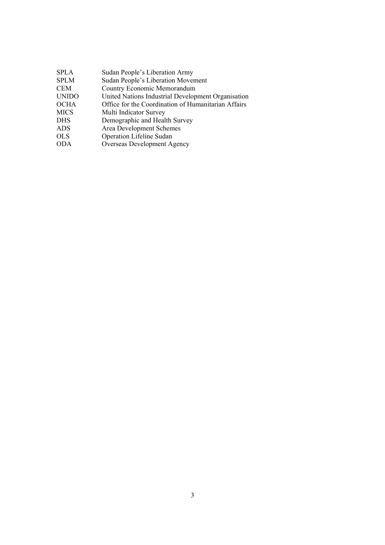| <b>SPLA</b>  | Sudan People's Liberation Army                      |
|--------------|-----------------------------------------------------|
| <b>SPLM</b>  | Sudan People's Liberation Movement                  |
| CEM          | Country Economic Memorandum                         |
| <b>UNIDO</b> | United Nations Industrial Development Organisation  |
| OCHA         | Office for the Coordination of Humanitarian Affairs |
| MICS         | Multi Indicator Survey                              |
| DHS          | Demographic and Health Survey                       |
| ADS          | Area Development Schemes                            |
| OLS          | Operation Lifeline Sudan                            |
| ODA          | Overseas Development Agency                         |
|              |                                                     |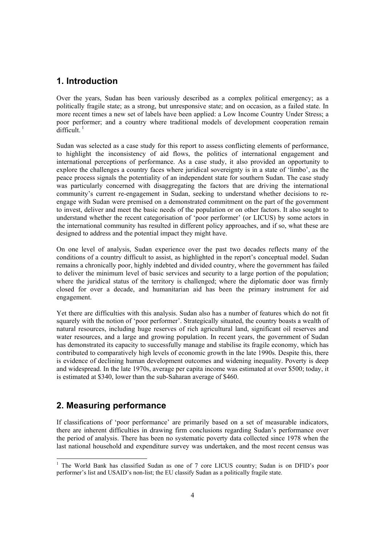# **1. Introduction**

Over the years, Sudan has been variously described as a complex political emergency; as a politically fragile state; as a strong, but unresponsive state; and on occasion, as a failed state. In more recent times a new set of labels have been applied: a Low Income Country Under Stress; a poor performer; and a country where traditional models of development cooperation remain  $difficult$ <sup> $1$ </sup>

Sudan was selected as a case study for this report to assess conflicting elements of performance, to highlight the inconsistency of aid flows, the politics of international engagement and international perceptions of performance. As a case study, it also provided an opportunity to explore the challenges a country faces where juridical sovereignty is in a state of 'limbo', as the peace process signals the potentiality of an independent state for southern Sudan. The case study was particularly concerned with disaggregating the factors that are driving the international community's current re-engagement in Sudan, seeking to understand whether decisions to reengage with Sudan were premised on a demonstrated commitment on the part of the government to invest, deliver and meet the basic needs of the population or on other factors. It also sought to understand whether the recent categorisation of 'poor performer' (or LICUS) by some actors in the international community has resulted in different policy approaches, and if so, what these are designed to address and the potential impact they might have.

On one level of analysis, Sudan experience over the past two decades reflects many of the conditions of a country difficult to assist, as highlighted in the report's conceptual model. Sudan remains a chronically poor, highly indebted and divided country, where the government has failed to deliver the minimum level of basic services and security to a large portion of the population; where the juridical status of the territory is challenged; where the diplomatic door was firmly closed for over a decade, and humanitarian aid has been the primary instrument for aid engagement.

Yet there are difficulties with this analysis. Sudan also has a number of features which do not fit squarely with the notion of 'poor performer'. Strategically situated, the country boasts a wealth of natural resources, including huge reserves of rich agricultural land, significant oil reserves and water resources, and a large and growing population. In recent years, the government of Sudan has demonstrated its capacity to successfully manage and stabilise its fragile economy, which has contributed to comparatively high levels of economic growth in the late 1990s. Despite this, there is evidence of declining human development outcomes and widening inequality. Poverty is deep and widespread. In the late 1970s, average per capita income was estimated at over \$500; today, it is estimated at \$340, lower than the sub-Saharan average of \$460.

# **2. Measuring performance**

l

If classifications of 'poor performance' are primarily based on a set of measurable indicators, there are inherent difficulties in drawing firm conclusions regarding Sudan's performance over the period of analysis. There has been no systematic poverty data collected since 1978 when the last national household and expenditure survey was undertaken, and the most recent census was

<sup>&</sup>lt;sup>1</sup> The World Bank has classified Sudan as one of 7 core LICUS country; Sudan is on DFID's poor performer's list and USAID's non-list; the EU classify Sudan as a politically fragile state.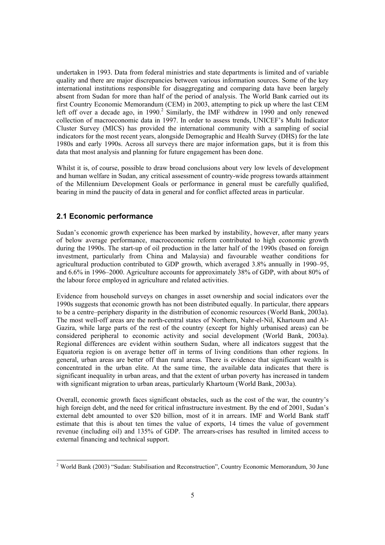undertaken in 1993. Data from federal ministries and state departments is limited and of variable quality and there are major discrepancies between various information sources. Some of the key international institutions responsible for disaggregating and comparing data have been largely absent from Sudan for more than half of the period of analysis. The World Bank carried out its first Country Economic Memorandum (CEM) in 2003, attempting to pick up where the last CEM left off over a decade ago, in 1990.<sup>2</sup> Similarly, the IMF withdrew in 1990 and only renewed collection of macroeconomic data in 1997. In order to assess trends, UNICEF's Multi Indicator Cluster Survey (MICS) has provided the international community with a sampling of social indicators for the most recent years, alongside Demographic and Health Survey (DHS) for the late 1980s and early 1990s. Across all surveys there are major information gaps, but it is from this data that most analysis and planning for future engagement has been done.

Whilst it is, of course, possible to draw broad conclusions about very low levels of development and human welfare in Sudan, any critical assessment of country-wide progress towards attainment of the Millennium Development Goals or performance in general must be carefully qualified, bearing in mind the paucity of data in general and for conflict affected areas in particular.

## **2.1 Economic performance**

l

Sudan's economic growth experience has been marked by instability, however, after many years of below average performance, macroeconomic reform contributed to high economic growth during the 1990s. The start-up of oil production in the latter half of the 1990s (based on foreign investment, particularly from China and Malaysia) and favourable weather conditions for agricultural production contributed to GDP growth, which averaged 3.8% annually in 1990–95, and 6.6% in 1996–2000. Agriculture accounts for approximately 38% of GDP, with about 80% of the labour force employed in agriculture and related activities.

Evidence from household surveys on changes in asset ownership and social indicators over the 1990s suggests that economic growth has not been distributed equally. In particular, there appears to be a centre–periphery disparity in the distribution of economic resources (World Bank, 2003a). The most well-off areas are the north-central states of Northern, Nahr-el-Nil, Khartoum and Al-Gazira, while large parts of the rest of the country (except for highly urbanised areas) can be considered peripheral to economic activity and social development (World Bank, 2003a). Regional differences are evident within southern Sudan, where all indicators suggest that the Equatoria region is on average better off in terms of living conditions than other regions. In general, urban areas are better off than rural areas. There is evidence that significant wealth is concentrated in the urban elite. At the same time, the available data indicates that there is significant inequality in urban areas, and that the extent of urban poverty has increased in tandem with significant migration to urban areas, particularly Khartoum (World Bank, 2003a).

Overall, economic growth faces significant obstacles, such as the cost of the war, the country's high foreign debt, and the need for critical infrastructure investment. By the end of 2001, Sudan's external debt amounted to over \$20 billion, most of it in arrears. IMF and World Bank staff estimate that this is about ten times the value of exports, 14 times the value of government revenue (including oil) and 135% of GDP. The arrears-crises has resulted in limited access to external financing and technical support.

<sup>&</sup>lt;sup>2</sup> World Bank (2003) "Sudan: Stabilisation and Reconstruction", Country Economic Memorandum, 30 June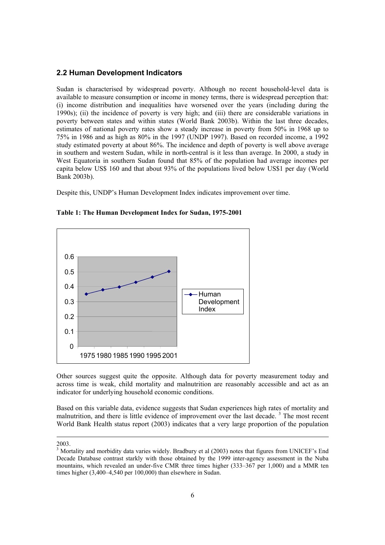#### **2.2 Human Development Indicators**

Sudan is characterised by widespread poverty. Although no recent household-level data is available to measure consumption or income in money terms, there is widespread perception that: (i) income distribution and inequalities have worsened over the years (including during the 1990s); (ii) the incidence of poverty is very high; and (iii) there are considerable variations in poverty between states and within states (World Bank 2003b). Within the last three decades, estimates of national poverty rates show a steady increase in poverty from 50% in 1968 up to 75% in 1986 and as high as 80% in the 1997 (UNDP 1997). Based on recorded income, a 1992 study estimated poverty at about 86%. The incidence and depth of poverty is well above average in southern and western Sudan, while in north-central is it less than average. In 2000, a study in West Equatoria in southern Sudan found that 85% of the population had average incomes per capita below US\$ 160 and that about 93% of the populations lived below US\$1 per day (World Bank 2003b).

Despite this, UNDP's Human Development Index indicates improvement over time.



**Table 1: The Human Development Index for Sudan, 1975-2001** 

Other sources suggest quite the opposite. Although data for poverty measurement today and across time is weak, child mortality and malnutrition are reasonably accessible and act as an indicator for underlying household economic conditions.

Based on this variable data, evidence suggests that Sudan experiences high rates of mortality and malnutrition, and there is little evidence of improvement over the last decade.<sup>3</sup> The most recent World Bank Health status report (2003) indicates that a very large proportion of the population

 $\overline{a}$ 

<sup>2003.</sup> 

<sup>&</sup>lt;sup>3</sup> Mortality and morbidity data varies widely. Bradbury et al (2003) notes that figures from UNICEF's End Decade Database contrast starkly with those obtained by the 1999 inter-agency assessment in the Nuba mountains, which revealed an under-five CMR three times higher (333–367 per 1,000) and a MMR ten times higher (3,400–4,540 per 100,000) than elsewhere in Sudan.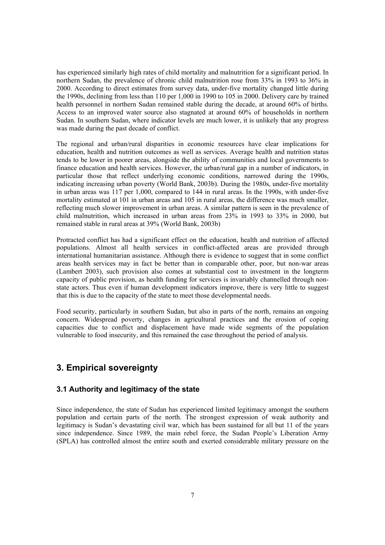has experienced similarly high rates of child mortality and malnutrition for a significant period. In northern Sudan, the prevalence of chronic child malnutrition rose from 33% in 1993 to 36% in 2000. According to direct estimates from survey data, under-five mortality changed little during the 1990s, declining from less than 110 per 1,000 in 1990 to 105 in 2000. Delivery care by trained health personnel in northern Sudan remained stable during the decade, at around 60% of births. Access to an improved water source also stagnated at around 60% of households in northern Sudan. In southern Sudan, where indicator levels are much lower, it is unlikely that any progress was made during the past decade of conflict.

The regional and urban/rural disparities in economic resources have clear implications for education, health and nutrition outcomes as well as services. Average health and nutrition status tends to be lower in poorer areas, alongside the ability of communities and local governments to finance education and health services. However, the urban/rural gap in a number of indicators, in particular those that reflect underlying economic conditions, narrowed during the 1990s, indicating increasing urban poverty (World Bank, 2003b). During the 1980s, under-five mortality in urban areas was 117 per 1,000, compared to 144 in rural areas. In the 1990s, with under-five mortality estimated at 101 in urban areas and 105 in rural areas, the difference was much smaller, reflecting much slower improvement in urban areas. A similar pattern is seen in the prevalence of child malnutrition, which increased in urban areas from 23% in 1993 to 33% in 2000, but remained stable in rural areas at 39% (World Bank, 2003b)

Protracted conflict has had a significant effect on the education, health and nutrition of affected populations. Almost all health services in conflict-affected areas are provided through international humanitarian assistance. Although there is evidence to suggest that in some conflict areas health services may in fact be better than in comparable other, poor, but non-war areas (Lambert 2003), such provision also comes at substantial cost to investment in the longterm capacity of public provision, as health funding for services is invariably channelled through nonstate actors. Thus even if human development indicators improve, there is very little to suggest that this is due to the capacity of the state to meet those developmental needs.

Food security, particularly in southern Sudan, but also in parts of the north, remains an ongoing concern. Widespread poverty, changes in agricultural practices and the erosion of coping capacities due to conflict and displacement have made wide segments of the population vulnerable to food insecurity, and this remained the case throughout the period of analysis.

# **3. Empirical sovereignty**

## **3.1 Authority and legitimacy of the state**

Since independence, the state of Sudan has experienced limited legitimacy amongst the southern population and certain parts of the north. The strongest expression of weak authority and legitimacy is Sudan's devastating civil war, which has been sustained for all but 11 of the years since independence. Since 1989, the main rebel force, the Sudan People's Liberation Army (SPLA) has controlled almost the entire south and exerted considerable military pressure on the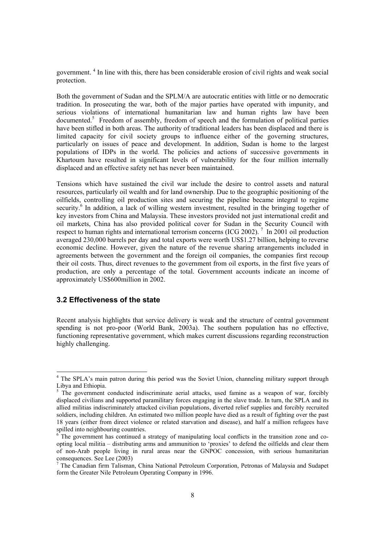government.<sup>4</sup> In line with this, there has been considerable erosion of civil rights and weak social protection.

Both the government of Sudan and the SPLM/A are autocratic entities with little or no democratic tradition. In prosecuting the war, both of the major parties have operated with impunity, and serious violations of international humanitarian law and human rights law have been documented.<sup>5</sup> Freedom of assembly, freedom of speech and the formulation of political parties have been stifled in both areas. The authority of traditional leaders has been displaced and there is limited capacity for civil society groups to influence either of the governing structures, particularly on issues of peace and development. In addition, Sudan is home to the largest populations of IDPs in the world. The policies and actions of successive governments in Khartoum have resulted in significant levels of vulnerability for the four million internally displaced and an effective safety net has never been maintained.

Tensions which have sustained the civil war include the desire to control assets and natural resources, particularly oil wealth and for land ownership. Due to the geographic positioning of the oilfields, controlling oil production sites and securing the pipeline became integral to regime security.<sup>6</sup> In addition, a lack of willing western investment, resulted in the bringing together of key investors from China and Malaysia. These investors provided not just international credit and oil markets, China has also provided political cover for Sudan in the Security Council with respect to human rights and international terrorism concerns (ICG 2002).<sup>7</sup> In 2001 oil production averaged 230,000 barrels per day and total exports were worth US\$1.27 billion, helping to reverse economic decline. However, given the nature of the revenue sharing arrangements included in agreements between the government and the foreign oil companies, the companies first recoup their oil costs. Thus, direct revenues to the government from oil exports, in the first five years of production, are only a percentage of the total. Government accounts indicate an income of approximately US\$600million in 2002.

### **3.2 Effectiveness of the state**

l

Recent analysis highlights that service delivery is weak and the structure of central government spending is not pro-poor (World Bank, 2003a). The southern population has no effective, functioning representative government, which makes current discussions regarding reconstruction highly challenging.

<sup>&</sup>lt;sup>4</sup> The SPLA's main patron during this period was the Soviet Union, channeling military support through Libya and Ethiopia.

<sup>&</sup>lt;sup>5</sup> The government conducted indiscriminate aerial attacks, used famine as a weapon of war, forcibly displaced civilians and supported paramilitary forces engaging in the slave trade. In turn, the SPLA and its allied militias indiscriminately attacked civilian populations, diverted relief supplies and forcibly recruited soldiers, including children. An estimated two million people have died as a result of fighting over the past 18 years (either from direct violence or related starvation and disease), and half a million refugees have spilled into neighbouring countries.

<sup>6</sup> The government has continued a strategy of manipulating local conflicts in the transition zone and coopting local militia – distributing arms and ammunition to 'proxies' to defend the oilfields and clear them of non-Arab people living in rural areas near the GNPOC concession, with serious humanitarian consequences. See Lee (2003)

<sup>&</sup>lt;sup>7</sup> The Canadian firm Talisman, China National Petroleum Corporation, Petronas of Malaysia and Sudapet form the Greater Nile Petroleum Operating Company in 1996.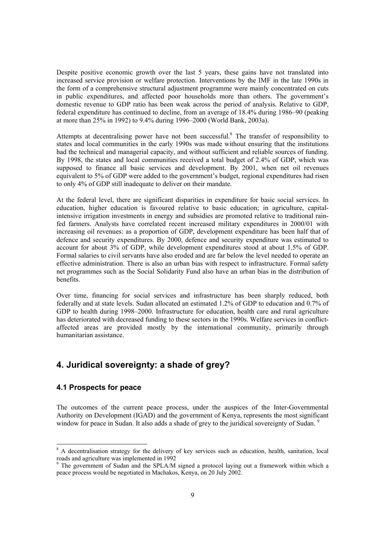Despite positive economic growth over the last 5 years, these gains have not translated into increased service provision or welfare protection. Interventions by the IMF in the late 1990s in the form of a comprehensive structural adjustment programme were mainly concentrated on cuts in public expenditures, and affected poor households more than others. The government's domestic revenue to GDP ratio has been weak across the period of analysis. Relative to GDP, federal expenditure has continued to decline, from an average of 18.4% during 1986–90 (peaking at more than 25% in 1992) to 9.4% during 1996–2000 (World Bank, 2003a).

Attempts at decentralising power have not been successful.<sup>8</sup> The transfer of responsibility to states and local communities in the early 1990s was made without ensuring that the institutions had the technical and managerial capacity, and without sufficient and reliable sources of funding. By 1998, the states and local communities received a total budget of 2.4% of GDP, which was supposed to finance all basic services and development. By 2001, when net oil revenues equivalent to 5% of GDP were added to the government's budget, regional expenditures had risen to only 4% of GDP still inadequate to deliver on their mandate.

At the federal level, there are significant disparities in expenditure for basic social services. In education, higher education is favoured relative to basic education; in agriculture, capitalintensive irrigation investments in energy and subsidies are promoted relative to traditional rainfed farmers. Analysts have correlated recent increased military expenditures in 2000/01 with increasing oil revenues: as a proportion of GDP, development expenditure has been half that of defence and security expenditures. By 2000, defence and security expenditure was estimated to account for about 3% of GDP, while development expenditures stood at about 1.5% of GDP. Formal salaries to civil servants have also eroded and are far below the level needed to operate an effective administration. There is also an urban bias with respect to infrastructure. Formal safety net programmes such as the Social Solidarity Fund also have an urban bias in the distribution of benefits.

Over time, financing for social services and infrastructure has been sharply reduced, both federally and at state levels. Sudan allocated an estimated 1.2% of GDP to education and 0.7% of GDP to health during 1998–2000. Infrastructure for education, health care and rural agriculture has deteriorated with decreased funding to these sectors in the 1990s. Welfare services in conflictaffected areas are provided mostly by the international community, primarily through humanitarian assistance.

# **4. Juridical sovereignty: a shade of grey?**

### **4.1 Prospects for peace**

 $\overline{a}$ 

The outcomes of the current peace process, under the auspices of the Inter-Governmental Authority on Development (IGAD) and the government of Kenya, represents the most significant window for peace in Sudan. It also adds a shade of grey to the juridical sovereignty of Sudan. <sup>9</sup>

<sup>&</sup>lt;sup>8</sup> A decentralisation strategy for the delivery of key services such as education, health, sanitation, local roads and agriculture was implemented in 1992

<sup>&</sup>lt;sup>9</sup> The government of Sudan and the SPLA/M signed a protocol laying out a framework within which a peace process would be negotiated in Machakos, Kenya, on 20 July 2002.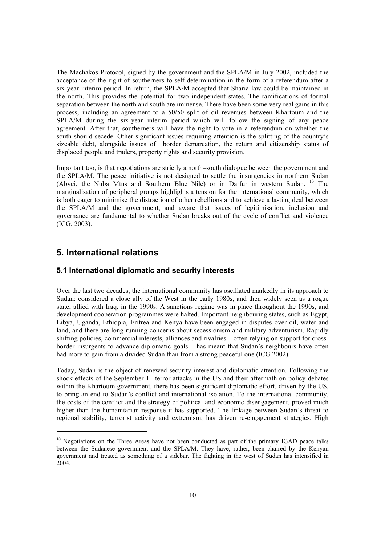The Machakos Protocol, signed by the government and the SPLA/M in July 2002, included the acceptance of the right of southerners to self-determination in the form of a referendum after a six-year interim period. In return, the SPLA/M accepted that Sharia law could be maintained in the north. This provides the potential for two independent states. The ramifications of formal separation between the north and south are immense. There have been some very real gains in this process, including an agreement to a 50/50 split of oil revenues between Khartoum and the SPLA/M during the six-year interim period which will follow the signing of any peace agreement. After that, southerners will have the right to vote in a referendum on whether the south should secede. Other significant issues requiring attention is the splitting of the country's sizeable debt, alongside issues of border demarcation, the return and citizenship status of displaced people and traders, property rights and security provision.

Important too, is that negotiations are strictly a north–south dialogue between the government and the SPLA/M. The peace initiative is not designed to settle the insurgencies in northern Sudan (Abyei, the Nuba Mtns and Southern Blue Nile) or in Darfur in western Sudan. 10 The marginalisation of peripheral groups highlights a tension for the international community, which is both eager to minimise the distraction of other rebellions and to achieve a lasting deal between the SPLA/M and the government, and aware that issues of legitimisation, inclusion and governance are fundamental to whether Sudan breaks out of the cycle of conflict and violence (ICG, 2003).

# **5. International relations**

 $\overline{a}$ 

### **5.1 International diplomatic and security interests**

Over the last two decades, the international community has oscillated markedly in its approach to Sudan: considered a close ally of the West in the early 1980s, and then widely seen as a rogue state, allied with Iraq, in the 1990s. A sanctions regime was in place throughout the 1990s, and development cooperation programmes were halted. Important neighbouring states, such as Egypt, Libya, Uganda, Ethiopia, Eritrea and Kenya have been engaged in disputes over oil, water and land, and there are long-running concerns about secessionism and military adventurism. Rapidly shifting policies, commercial interests, alliances and rivalries – often relying on support for crossborder insurgents to advance diplomatic goals – has meant that Sudan's neighbours have often had more to gain from a divided Sudan than from a strong peaceful one (ICG 2002).

Today, Sudan is the object of renewed security interest and diplomatic attention. Following the shock effects of the September 11 terror attacks in the US and their aftermath on policy debates within the Khartoum government, there has been significant diplomatic effort, driven by the US, to bring an end to Sudan's conflict and international isolation. To the international community, the costs of the conflict and the strategy of political and economic disengagement, proved much higher than the humanitarian response it has supported. The linkage between Sudan's threat to regional stability, terrorist activity and extremism, has driven re-engagement strategies. High

<sup>&</sup>lt;sup>10</sup> Negotiations on the Three Areas have not been conducted as part of the primary IGAD peace talks between the Sudanese government and the SPLA/M. They have, rather, been chaired by the Kenyan government and treated as something of a sidebar. The fighting in the west of Sudan has intensified in 2004.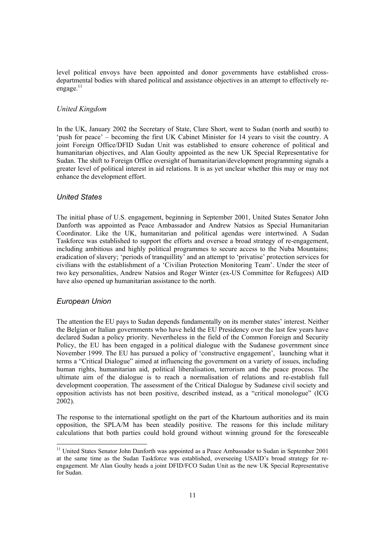level political envoys have been appointed and donor governments have established crossdepartmental bodies with shared political and assistance objectives in an attempt to effectively reengage. $11$ 

#### *United Kingdom*

In the UK, January 2002 the Secretary of State, Clare Short, went to Sudan (north and south) to 'push for peace' – becoming the first UK Cabinet Minister for 14 years to visit the country. A joint Foreign Office/DFID Sudan Unit was established to ensure coherence of political and humanitarian objectives, and Alan Goulty appointed as the new UK Special Representative for Sudan. The shift to Foreign Office oversight of humanitarian/development programming signals a greater level of political interest in aid relations. It is as yet unclear whether this may or may not enhance the development effort.

#### *United States*

The initial phase of U.S. engagement, beginning in September 2001, United States Senator John Danforth was appointed as Peace Ambassador and Andrew Natsios as Special Humanitarian Coordinator. Like the UK, humanitarian and political agendas were intertwined. A Sudan Taskforce was established to support the efforts and oversee a broad strategy of re-engagement, including ambitious and highly political programmes to secure access to the Nuba Mountains; eradication of slavery; 'periods of tranquillity' and an attempt to 'privatise' protection services for civilians with the establishment of a 'Civilian Protection Monitoring Team'. Under the steer of two key personalities, Andrew Natsios and Roger Winter (ex-US Committee for Refugees) AID have also opened up humanitarian assistance to the north.

#### *European Union*

 $\overline{a}$ 

The attention the EU pays to Sudan depends fundamentally on its member states' interest. Neither the Belgian or Italian governments who have held the EU Presidency over the last few years have declared Sudan a policy priority. Nevertheless in the field of the Common Foreign and Security Policy, the EU has been engaged in a political dialogue with the Sudanese government since November 1999. The EU has pursued a policy of 'constructive engagement', launching what it terms a "Critical Dialogue" aimed at influencing the government on a variety of issues, including human rights, humanitarian aid, political liberalisation, terrorism and the peace process. The ultimate aim of the dialogue is to reach a normalisation of relations and re-establish full development cooperation. The assessment of the Critical Dialogue by Sudanese civil society and opposition activists has not been positive, described instead, as a "critical monologue" (ICG 2002).

The response to the international spotlight on the part of the Khartoum authorities and its main opposition, the SPLA/M has been steadily positive. The reasons for this include military calculations that both parties could hold ground without winning ground for the foreseeable

<sup>&</sup>lt;sup>11</sup> United States Senator John Danforth was appointed as a Peace Ambassador to Sudan in September 2001 at the same time as the Sudan Taskforce was established, overseeing USAID's broad strategy for reengagement. Mr Alan Goulty heads a joint DFID/FCO Sudan Unit as the new UK Special Representative for Sudan.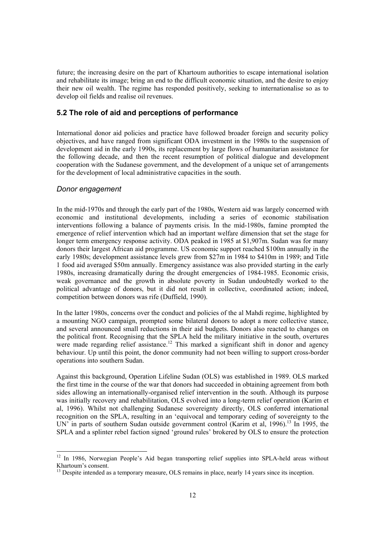future; the increasing desire on the part of Khartoum authorities to escape international isolation and rehabilitate its image; bring an end to the difficult economic situation, and the desire to enjoy their new oil wealth. The regime has responded positively, seeking to internationalise so as to develop oil fields and realise oil revenues.

### **5.2 The role of aid and perceptions of performance**

International donor aid policies and practice have followed broader foreign and security policy objectives, and have ranged from significant ODA investment in the 1980s to the suspension of development aid in the early 1990s, its replacement by large flows of humanitarian assistance for the following decade, and then the recent resumption of political dialogue and development cooperation with the Sudanese government, and the development of a unique set of arrangements for the development of local administrative capacities in the south.

### *Donor engagement*

l

In the mid-1970s and through the early part of the 1980s, Western aid was largely concerned with economic and institutional developments, including a series of economic stabilisation interventions following a balance of payments crisis. In the mid-1980s, famine prompted the emergence of relief intervention which had an important welfare dimension that set the stage for longer term emergency response activity. ODA peaked in 1985 at \$1,907m. Sudan was for many donors their largest African aid programme. US economic support reached \$100m annually in the early 1980s; development assistance levels grew from \$27m in 1984 to \$410m in 1989; and Title 1 food aid averaged \$50m annually. Emergency assistance was also provided starting in the early 1980s, increasing dramatically during the drought emergencies of 1984-1985. Economic crisis, weak governance and the growth in absolute poverty in Sudan undoubtedly worked to the political advantage of donors, but it did not result in collective, coordinated action; indeed, competition between donors was rife (Duffield, 1990).

In the latter 1980s, concerns over the conduct and policies of the al Mahdi regime, highlighted by a mounting NGO campaign, prompted some bilateral donors to adopt a more collective stance, and several announced small reductions in their aid budgets. Donors also reacted to changes on the political front. Recognising that the SPLA held the military initiative in the south, overtures were made regarding relief assistance.<sup>12</sup> This marked a significant shift in donor and agency behaviour. Up until this point, the donor community had not been willing to support cross-border operations into southern Sudan.

Against this background, Operation Lifeline Sudan (OLS) was established in 1989. OLS marked the first time in the course of the war that donors had succeeded in obtaining agreement from both sides allowing an internationally-organised relief intervention in the south. Although its purpose was initially recovery and rehabilitation, OLS evolved into a long-term relief operation (Karim et al, 1996). Whilst not challenging Sudanese sovereignty directly, OLS conferred international recognition on the SPLA, resulting in an 'equivocal and temporary ceding of sovereignty to the UN' in parts of southern Sudan outside government control (Karim et al, 1996).<sup>13</sup> In 1995, the SPLA and a splinter rebel faction signed 'ground rules' brokered by OLS to ensure the protection

<sup>&</sup>lt;sup>12</sup> In 1986, Norwegian People's Aid began transporting relief supplies into SPLA-held areas without Khartoum's consent.

 $<sup>13</sup>$  Despite intended as a temporary measure, OLS remains in place, nearly 14 years since its inception.</sup>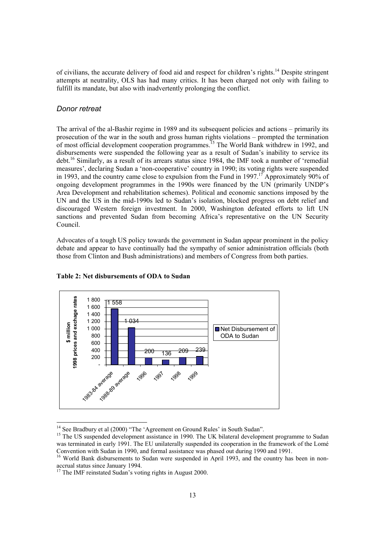of civilians, the accurate delivery of food aid and respect for children's rights.14 Despite stringent attempts at neutrality, OLS has had many critics. It has been charged not only with failing to fulfill its mandate, but also with inadvertently prolonging the conflict.

#### *Donor retreat*

l

The arrival of the al-Bashir regime in 1989 and its subsequent policies and actions – primarily its prosecution of the war in the south and gross human rights violations – prompted the termination of most official development cooperation programmes.<sup>15</sup> The World Bank withdrew in 1992, and disbursements were suspended the following year as a result of Sudan's inability to service its debt.16 Similarly, as a result of its arrears status since 1984, the IMF took a number of 'remedial measures', declaring Sudan a 'non-cooperative' country in 1990; its voting rights were suspended in 1993, and the country came close to expulsion from the Fund in 1997.<sup>17</sup> Approximately 90% of ongoing development programmes in the 1990s were financed by the UN (primarily UNDP's Area Development and rehabilitation schemes). Political and economic sanctions imposed by the UN and the US in the mid-1990s led to Sudan's isolation, blocked progress on debt relief and discouraged Western foreign investment. In 2000, Washington defeated efforts to lift UN sanctions and prevented Sudan from becoming Africa's representative on the UN Security Council.

Advocates of a tough US policy towards the government in Sudan appear prominent in the policy debate and appear to have continually had the sympathy of senior administration officials (both those from Clinton and Bush administrations) and members of Congress from both parties.



#### **Table 2: Net disbursements of ODA to Sudan**

<sup>&</sup>lt;sup>14</sup> See Bradbury et al (2000) "The 'Agreement on Ground Rules' in South Sudan".

<sup>&</sup>lt;sup>15</sup> The US suspended development assistance in 1990. The UK bilateral development programme to Sudan was terminated in early 1991. The EU unilaterally suspended its cooperation in the framework of the Lomé Convention with Sudan in 1990, and formal assistance was phased out during 1990 and 1991.

<sup>&</sup>lt;sup>16</sup> World Bank disbursements to Sudan were suspended in April 1993, and the country has been in nonaccrual status since January 1994.

 $17$  The IMF reinstated Sudan's voting rights in August 2000.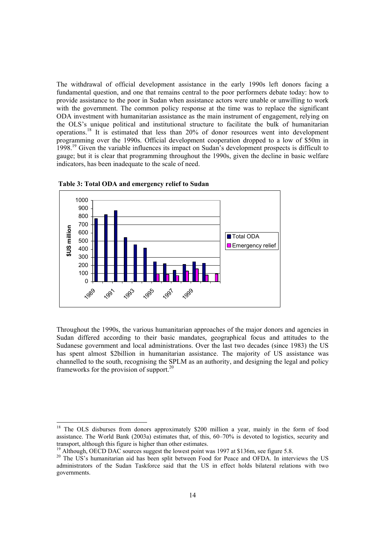The withdrawal of official development assistance in the early 1990s left donors facing a fundamental question, and one that remains central to the poor performers debate today: how to provide assistance to the poor in Sudan when assistance actors were unable or unwilling to work with the government. The common policy response at the time was to replace the significant ODA investment with humanitarian assistance as the main instrument of engagement, relying on the OLS's unique political and institutional structure to facilitate the bulk of humanitarian operations.18 It is estimated that less than 20% of donor resources went into development programming over the 1990s. Official development cooperation dropped to a low of \$50m in 1998.<sup>19</sup> Given the variable influences its impact on Sudan's development prospects is difficult to gauge; but it is clear that programming throughout the 1990s, given the decline in basic welfare indicators, has been inadequate to the scale of need.



 **Table 3: Total ODA and emergency relief to Sudan** 

Throughout the 1990s, the various humanitarian approaches of the major donors and agencies in Sudan differed according to their basic mandates, geographical focus and attitudes to the Sudanese government and local administrations. Over the last two decades (since 1983) the US has spent almost \$2billion in humanitarian assistance. The majority of US assistance was channelled to the south, recognising the SPLM as an authority, and designing the legal and policy frameworks for the provision of support.<sup>20</sup>

l

<sup>&</sup>lt;sup>18</sup> The OLS disburses from donors approximately \$200 million a year, mainly in the form of food assistance. The World Bank (2003a) estimates that, of this, 60–70% is devoted to logistics, security and transport, although this figure is higher than other estimates.

<sup>&</sup>lt;sup>19</sup> Although, OECD DAC sources suggest the lowest point was 1997 at \$136m, see figure 5.8.

<sup>&</sup>lt;sup>20</sup> The US's humanitarian aid has been split between Food for Peace and OFDA. In interviews the US administrators of the Sudan Taskforce said that the US in effect holds bilateral relations with two governments.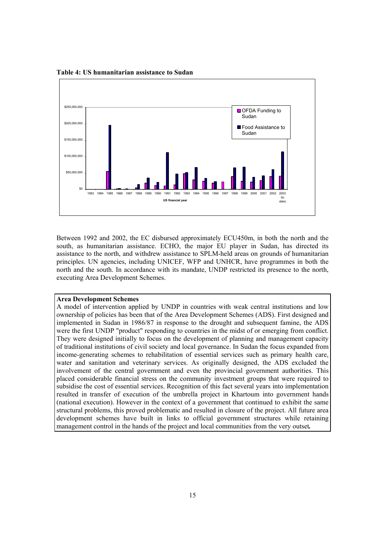

**Table 4: US humanitarian assistance to Sudan** 

Between 1992 and 2002, the EC disbursed approximately ECU450m, in both the north and the south, as humanitarian assistance. ECHO, the major EU player in Sudan, has directed its assistance to the north, and withdrew assistance to SPLM-held areas on grounds of humanitarian principles. UN agencies, including UNICEF, WFP and UNHCR, have programmes in both the north and the south. In accordance with its mandate, UNDP restricted its presence to the north, executing Area Development Schemes.

#### **Area Development Schemes**

A model of intervention applied by UNDP in countries with weak central institutions and low ownership of policies has been that of the Area Development Schemes (ADS). First designed and implemented in Sudan in 1986/87 in response to the drought and subsequent famine, the ADS were the first UNDP "product" responding to countries in the midst of or emerging from conflict. They were designed initially to focus on the development of planning and management capacity of traditional institutions of civil society and local governance. In Sudan the focus expanded from income-generating schemes to rehabilitation of essential services such as primary health care, water and sanitation and veterinary services. As originally designed, the ADS excluded the involvement of the central government and even the provincial government authorities. This placed considerable financial stress on the community investment groups that were required to subsidise the cost of essential services. Recognition of this fact several years into implementation resulted in transfer of execution of the umbrella project in Khartoum into government hands (national execution). However in the context of a government that continued to exhibit the same structural problems, this proved problematic and resulted in closure of the project. All future area development schemes have built in links to official government structures while retaining management control in the hands of the project and local communities from the very outset*.*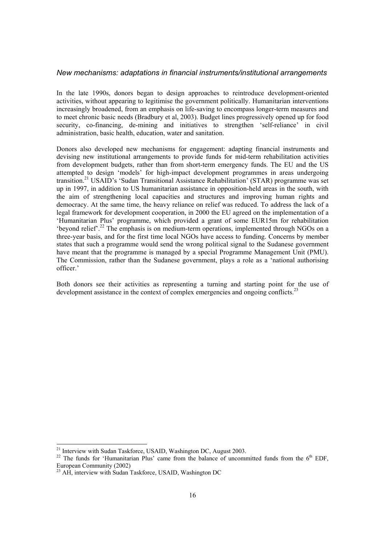#### *New mechanisms: adaptations in financial instruments/institutional arrangements*

In the late 1990s, donors began to design approaches to reintroduce development-oriented activities, without appearing to legitimise the government politically. Humanitarian interventions increasingly broadened, from an emphasis on life-saving to encompass longer-term measures and to meet chronic basic needs (Bradbury et al, 2003). Budget lines progressively opened up for food security, co-financing, de-mining and initiatives to strengthen 'self-reliance' in civil administration, basic health, education, water and sanitation.

Donors also developed new mechanisms for engagement: adapting financial instruments and devising new institutional arrangements to provide funds for mid-term rehabilitation activities from development budgets, rather than from short-term emergency funds. The EU and the US attempted to design 'models' for high-impact development programmes in areas undergoing transition.21 USAID's 'Sudan Transitional Assistance Rehabilitation' (STAR) programme was set up in 1997, in addition to US humanitarian assistance in opposition-held areas in the south, with the aim of strengthening local capacities and structures and improving human rights and democracy. At the same time, the heavy reliance on relief was reduced. To address the lack of a legal framework for development cooperation, in 2000 the EU agreed on the implementation of a 'Humanitarian Plus' programme, which provided a grant of some EUR15m for rehabilitation 'beyond relief'.<sup>22</sup> The emphasis is on medium-term operations, implemented through NGOs on a three-year basis, and for the first time local NGOs have access to funding. Concerns by member states that such a programme would send the wrong political signal to the Sudanese government have meant that the programme is managed by a special Programme Management Unit (PMU). The Commission, rather than the Sudanese government, plays a role as a 'national authorising officer.'

Both donors see their activities as representing a turning and starting point for the use of development assistance in the context of complex emergencies and ongoing conflicts.<sup>23</sup>

 $\overline{a}$ 

<sup>&</sup>lt;sup>21</sup> Interview with Sudan Taskforce, USAID, Washington DC, August 2003.

<sup>&</sup>lt;sup>22</sup> The funds for 'Humanitarian Plus' came from the balance of uncommitted funds from the 6<sup>th</sup> EDF, European Community (2002)

<sup>&</sup>lt;sup>23</sup> AH, interview with Sudan Taskforce, USAID, Washington DC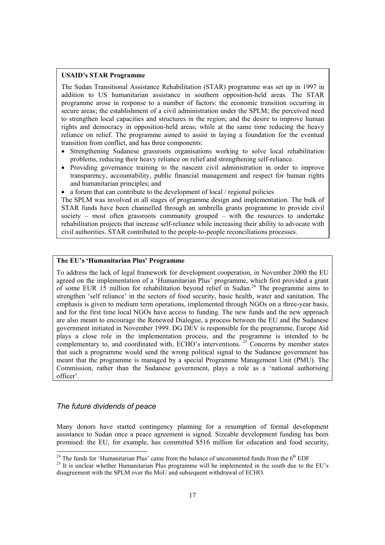### **USAID's STAR Programme**

The Sudan Transitional Assistance Rehabilitation (STAR) programme was set up in 1997 in addition to US humanitarian assistance in southern opposition-held areas. The STAR programme arose in response to a number of factors: the economic transition occurring in secure areas; the establishment of a civil administration under the SPLM; the perceived need to strengthen local capacities and structures in the region; and the desire to improve human rights and democracy in opposition-held areas; while at the same time reducing the heavy reliance on relief. The programme aimed to assist in laying a foundation for the eventual transition from conflict, and has three components:

- Strengthening Sudanese grassroots organisations working to solve local rehabilitation problems, reducing their heavy reliance on relief and strengthening self-reliance.
- Providing governance training to the nascent civil administration in order to improve transparency, accountability, public financial management and respect for human rights and humanitarian principles; and
- a forum that can contribute to the development of local / regional policies

The SPLM was involved in all stages of programme design and implementation. The bulk of STAR funds have been channelled through an umbrella grants programme to provide civil society – most often grassroots community grouped – with the resources to undertake rehabilitation projects that increase self-reliance while increasing their ability to advocate with civil authorities. STAR contributed to the people-to-people reconciliations processes.

### **The EU's 'Humanitarian Plus' Programme**

To address the lack of legal framework for development cooperation, in November 2000 the EU agreed on the implementation of a 'Humanitarian Plus' programme, which first provided a grant of some EUR 15 million for rehabilitation beyond relief in Sudan.<sup>24</sup> The programme aims to strengthen 'self reliance' in the sectors of food security, basic health, water and sanitation. The emphasis is given to medium term operations, implemented through NGOs on a three-year basis, and for the first time local NGOs have access to funding. The new funds and the new approach are also meant to encourage the Renewed Dialogue, a process between the EU and the Sudanese government initiated in November 1999. DG DEV is responsible for the programme, Europe Aid plays a close role in the implementation process, and the programme is intended to be complementary to, and coordinated with, ECHO's interventions.<sup>25</sup> Concerns by member states that such a programme would send the wrong political signal to the Sudanese government has meant that the programme is managed by a special Programme Management Unit (PMU). The Commission, rather than the Sudanese government, plays a role as a 'national authorising officer'.

### *The future dividends of peace*

Many donors have started contingency planning for a resumption of formal development assistance to Sudan once a peace agreement is signed. Sizeable development funding has been promised: the EU, for example, has committed \$516 million for education and food security,

<sup>&</sup>lt;sup>24</sup> The funds for 'Humanitarian Plus' came from the balance of uncommitted funds from the 6<sup>th</sup> EDF

 $25$  It is unclear whether Humanitarian Plus programme will be implemented in the south due to the EU's disagreement with the SPLM over the MoU and subsequent withdrawal of ECHO.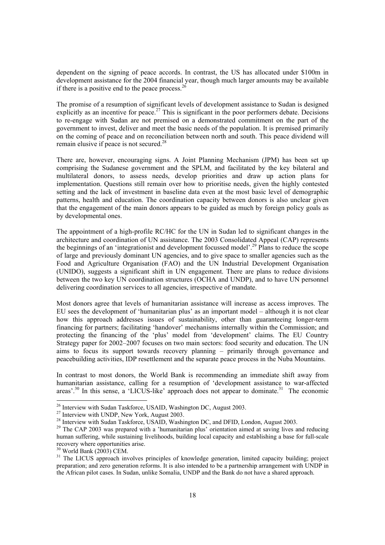dependent on the signing of peace accords. In contrast, the US has allocated under \$100m in development assistance for the 2004 financial year, though much larger amounts may be available if there is a positive end to the peace process. $<sup>2</sup>$ </sup>

The promise of a resumption of significant levels of development assistance to Sudan is designed explicitly as an incentive for peace.<sup>27</sup> This is significant in the poor performers debate. Decisions to re-engage with Sudan are not premised on a demonstrated commitment on the part of the government to invest, deliver and meet the basic needs of the population. It is premised primarily on the coming of peace and on reconciliation between north and south. This peace dividend will remain elusive if peace is not secured.28

There are, however, encouraging signs. A Joint Planning Mechanism (JPM) has been set up comprising the Sudanese government and the SPLM, and facilitated by the key bilateral and multilateral donors, to assess needs, develop priorities and draw up action plans for implementation. Questions still remain over how to prioritise needs, given the highly contested setting and the lack of investment in baseline data even at the most basic level of demographic patterns, health and education. The coordination capacity between donors is also unclear given that the engagement of the main donors appears to be guided as much by foreign policy goals as by developmental ones.

The appointment of a high-profile RC/HC for the UN in Sudan led to significant changes in the architecture and coordination of UN assistance. The 2003 Consolidated Appeal (CAP) represents the beginnings of an 'integrationist and development focussed model'.<sup>29</sup> Plans to reduce the scope of large and previously dominant UN agencies, and to give space to smaller agencies such as the Food and Agriculture Organisation (FAO) and the UN Industrial Development Organisation (UNIDO), suggests a significant shift in UN engagement. There are plans to reduce divisions between the two key UN coordination structures (OCHA and UNDP), and to have UN personnel delivering coordination services to all agencies, irrespective of mandate.

Most donors agree that levels of humanitarian assistance will increase as access improves. The EU sees the development of 'humanitarian plus' as an important model – although it is not clear how this approach addresses issues of sustainability, other than guaranteeing longer-term financing for partners; facilitating 'handover' mechanisms internally within the Commission; and protecting the financing of the 'plus' model from 'development' claims. The EU Country Strategy paper for 2002–2007 focuses on two main sectors: food security and education. The UN aims to focus its support towards recovery planning – primarily through governance and peacebuilding activities, IDP resettlement and the separate peace process in the Nuba Mountains.

In contrast to most donors, the World Bank is recommending an immediate shift away from humanitarian assistance, calling for a resumption of 'development assistance to war-affected areas'. $30$  In this sense, a 'LICUS-like' approach does not appear to dominate. $31$  The economic

 $\overline{a}$ 

 $^{26}$  Interview with Sudan Taskforce, USAID, Washington DC, August 2003.

 $27$  Interview with UNDP, New York, August 2003.

<sup>&</sup>lt;sup>28</sup> Interview with Sudan Taskforce, USAID, Washington DC, and DFID, London, August 2003.

<sup>&</sup>lt;sup>29</sup> The CAP 2003 was prepared with a 'humanitarian plus' orientation aimed at saving lives and reducing human suffering, while sustaining livelihoods, building local capacity and establishing a base for full-scale recovery where opportunities arise.

 $30$  World Bank (2003) CEM.

<sup>&</sup>lt;sup>31</sup> The LICUS approach involves principles of knowledge generation, limited capacity building; project preparation; and zero generation reforms. It is also intended to be a partnership arrangement with UNDP in the African pilot cases. In Sudan, unlike Somalia, UNDP and the Bank do not have a shared approach.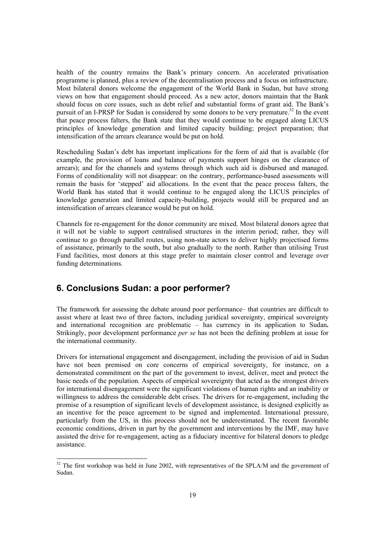health of the country remains the Bank's primary concern. An accelerated privatisation programme is planned, plus a review of the decentralisation process and a focus on infrastructure. Most bilateral donors welcome the engagement of the World Bank in Sudan, but have strong views on how that engagement should proceed. As a new actor, donors maintain that the Bank should focus on core issues, such as debt relief and substantial forms of grant aid. The Bank's pursuit of an I-PRSP for Sudan is considered by some donors to be very premature.<sup>32</sup> In the event that peace process falters, the Bank state that they would continue to be engaged along LICUS principles of knowledge generation and limited capacity building; project preparation; that intensification of the arrears clearance would be put on hold.

Rescheduling Sudan's debt has important implications for the form of aid that is available (for example, the provision of loans and balance of payments support hinges on the clearance of arrears); and for the channels and systems through which such aid is disbursed and managed. Forms of conditionality will not disappear: on the contrary, performance-based assessments will remain the basis for 'stepped' aid allocations. In the event that the peace process falters, the World Bank has stated that it would continue to be engaged along the LICUS principles of knowledge generation and limited capacity-building, projects would still be prepared and an intensification of arrears clearance would be put on hold.

Channels for re-engagement for the donor community are mixed. Most bilateral donors agree that it will not be viable to support centralised structures in the interim period; rather, they will continue to go through parallel routes, using non-state actors to deliver highly projectised forms of assistance, primarily to the south, but also gradually to the north. Rather than utilising Trust Fund facilities, most donors at this stage prefer to maintain closer control and leverage over funding determinations.

# **6. Conclusions Sudan: a poor performer?**

l

The framework for assessing the debate around poor performance– that countries are difficult to assist where at least two of three factors, including juridical sovereignty, empirical sovereignty and international recognition are problematic – has currency in its application to Sudan**.**  Strikingly, poor development performance *per se* has not been the defining problem at issue for the international community.

Drivers for international engagement and disengagement, including the provision of aid in Sudan have not been premised on core concerns of empirical sovereignty, for instance, on a demonstrated commitment on the part of the government to invest, deliver, meet and protect the basic needs of the population. Aspects of empirical sovereignty that acted as the strongest drivers for international disengagement were the significant violations of human rights and an inability or willingness to address the considerable debt crises. The drivers for re-engagement, including the promise of a resumption of significant levels of development assistance, is designed explicitly as an incentive for the peace agreement to be signed and implemented. International pressure, particularly from the US, in this process should not be underestimated. The recent favorable economic conditions, driven in part by the government and interventions by the IMF, may have assisted the drive for re-engagement, acting as a fiduciary incentive for bilateral donors to pledge assistance.

 $32$  The first workshop was held in June 2002, with representatives of the SPLA/M and the government of Sudan.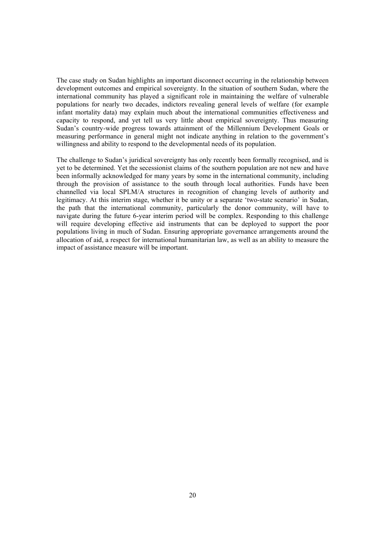The case study on Sudan highlights an important disconnect occurring in the relationship between development outcomes and empirical sovereignty. In the situation of southern Sudan, where the international community has played a significant role in maintaining the welfare of vulnerable populations for nearly two decades, indictors revealing general levels of welfare (for example infant mortality data) may explain much about the international communities effectiveness and capacity to respond, and yet tell us very little about empirical sovereignty. Thus measuring Sudan's country-wide progress towards attainment of the Millennium Development Goals or measuring performance in general might not indicate anything in relation to the government's willingness and ability to respond to the developmental needs of its population.

The challenge to Sudan's juridical sovereignty has only recently been formally recognised, and is yet to be determined. Yet the secessionist claims of the southern population are not new and have been informally acknowledged for many years by some in the international community, including through the provision of assistance to the south through local authorities. Funds have been channelled via local SPLM/A structures in recognition of changing levels of authority and legitimacy. At this interim stage, whether it be unity or a separate 'two-state scenario' in Sudan, the path that the international community, particularly the donor community, will have to navigate during the future 6-year interim period will be complex. Responding to this challenge will require developing effective aid instruments that can be deployed to support the poor populations living in much of Sudan. Ensuring appropriate governance arrangements around the allocation of aid, a respect for international humanitarian law, as well as an ability to measure the impact of assistance measure will be important.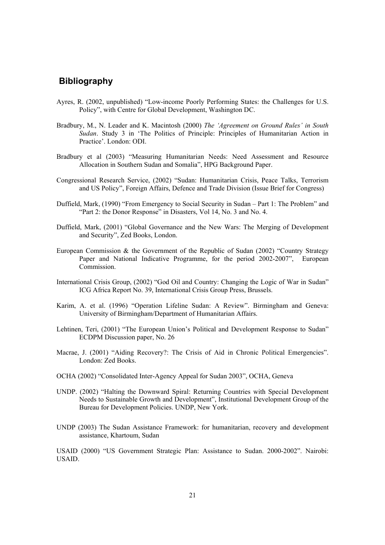# **Bibliography**

- Ayres, R. (2002, unpublished) "Low-income Poorly Performing States: the Challenges for U.S. Policy", with Centre for Global Development, Washington DC.
- Bradbury, M., N. Leader and K. Macintosh (2000) *The 'Agreement on Ground Rules' in South Sudan*. Study 3 in 'The Politics of Principle: Principles of Humanitarian Action in Practice'. London: ODI.
- Bradbury et al (2003) "Measuring Humanitarian Needs: Need Assessment and Resource Allocation in Southern Sudan and Somalia", HPG Background Paper.
- Congressional Research Service, (2002) "Sudan: Humanitarian Crisis, Peace Talks, Terrorism and US Policy", Foreign Affairs, Defence and Trade Division (Issue Brief for Congress)
- Duffield, Mark, (1990) "From Emergency to Social Security in Sudan Part 1: The Problem" and "Part 2: the Donor Response" in Disasters, Vol 14, No. 3 and No. 4.
- Duffield, Mark, (2001) "Global Governance and the New Wars: The Merging of Development and Security", Zed Books, London.
- European Commission & the Government of the Republic of Sudan (2002) "Country Strategy Paper and National Indicative Programme, for the period 2002-2007", European Commission.
- International Crisis Group, (2002) "God Oil and Country: Changing the Logic of War in Sudan" ICG Africa Report No. 39, International Crisis Group Press, Brussels.
- Karim, A. et al. (1996) "Operation Lifeline Sudan: A Review". Birmingham and Geneva: University of Birmingham/Department of Humanitarian Affairs.
- Lehtinen, Teri, (2001) "The European Union's Political and Development Response to Sudan" ECDPM Discussion paper, No. 26
- Macrae, J. (2001) "Aiding Recovery?: The Crisis of Aid in Chronic Political Emergencies". London: Zed Books.
- OCHA (2002) "Consolidated Inter-Agency Appeal for Sudan 2003", OCHA, Geneva
- UNDP. (2002) "Halting the Downward Spiral: Returning Countries with Special Development Needs to Sustainable Growth and Development", Institutional Development Group of the Bureau for Development Policies. UNDP, New York.
- UNDP (2003) The Sudan Assistance Framework: for humanitarian, recovery and development assistance, Khartoum, Sudan

USAID (2000) "US Government Strategic Plan: Assistance to Sudan. 2000-2002". Nairobi: USAID.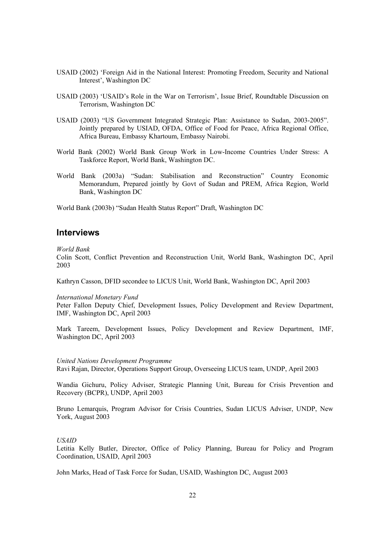- USAID (2002) 'Foreign Aid in the National Interest: Promoting Freedom, Security and National Interest', Washington DC
- USAID (2003) 'USAID's Role in the War on Terrorism', Issue Brief, Roundtable Discussion on Terrorism, Washington DC
- USAID (2003) "US Government Integrated Strategic Plan: Assistance to Sudan, 2003-2005". Jointly prepared by USIAD, OFDA, Office of Food for Peace, Africa Regional Office, Africa Bureau, Embassy Khartoum, Embassy Nairobi.
- World Bank (2002) World Bank Group Work in Low-Income Countries Under Stress: A Taskforce Report, World Bank, Washington DC.
- World Bank (2003a) "Sudan: Stabilisation and Reconstruction" Country Economic Memorandum, Prepared jointly by Govt of Sudan and PREM, Africa Region, World Bank, Washington DC

World Bank (2003b) "Sudan Health Status Report" Draft, Washington DC

### **Interviews**

*World Bank* 

Colin Scott, Conflict Prevention and Reconstruction Unit, World Bank, Washington DC, April 2003

Kathryn Casson, DFID secondee to LICUS Unit, World Bank, Washington DC, April 2003

*International Monetary Fund* 

Peter Fallon Deputy Chief, Development Issues, Policy Development and Review Department, IMF, Washington DC, April 2003

Mark Tareem, Development Issues, Policy Development and Review Department, IMF, Washington DC, April 2003

*United Nations Development Programme*  Ravi Rajan, Director, Operations Support Group, Overseeing LICUS team, UNDP, April 2003

Wandia Gichuru, Policy Adviser, Strategic Planning Unit, Bureau for Crisis Prevention and Recovery (BCPR), UNDP, April 2003

Bruno Lemarquis, Program Advisor for Crisis Countries, Sudan LICUS Adviser, UNDP, New York, August 2003

#### *USAID*

Letitia Kelly Butler, Director, Office of Policy Planning, Bureau for Policy and Program Coordination, USAID, April 2003

John Marks, Head of Task Force for Sudan, USAID, Washington DC, August 2003